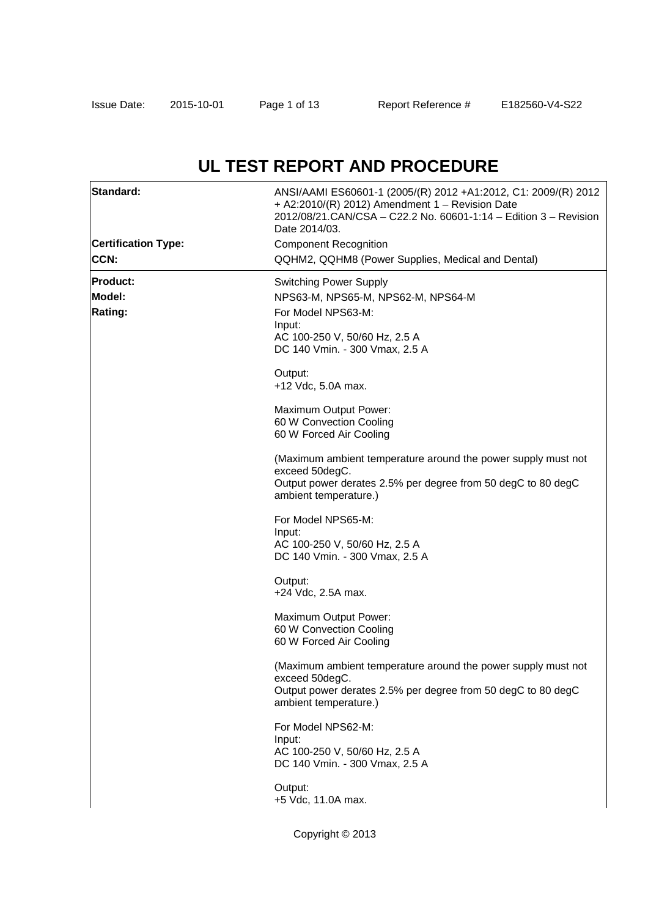# **UL TEST REPORT AND PROCEDURE**

| Standard:                  | ANSI/AAMI ES60601-1 (2005/(R) 2012 +A1:2012, C1: 2009/(R) 2012<br>+ A2:2010/(R) 2012) Amendment 1 - Revision Date<br>2012/08/21. CAN/CSA - C22. 2 No. 60601-1:14 - Edition 3 - Revision<br>Date 2014/03. |
|----------------------------|----------------------------------------------------------------------------------------------------------------------------------------------------------------------------------------------------------|
| <b>Certification Type:</b> | <b>Component Recognition</b>                                                                                                                                                                             |
| <b>CCN:</b>                | QQHM2, QQHM8 (Power Supplies, Medical and Dental)                                                                                                                                                        |
| <b>Product:</b>            | <b>Switching Power Supply</b>                                                                                                                                                                            |
| Model:                     | NPS63-M, NPS65-M, NPS62-M, NPS64-M                                                                                                                                                                       |
| Rating:                    | For Model NPS63-M:                                                                                                                                                                                       |
|                            | Input:                                                                                                                                                                                                   |
|                            | AC 100-250 V, 50/60 Hz, 2.5 A<br>DC 140 Vmin. - 300 Vmax, 2.5 A                                                                                                                                          |
|                            |                                                                                                                                                                                                          |
|                            | Output:                                                                                                                                                                                                  |
|                            | +12 Vdc, 5.0A max.                                                                                                                                                                                       |
|                            | Maximum Output Power:                                                                                                                                                                                    |
|                            | 60 W Convection Cooling                                                                                                                                                                                  |
|                            | 60 W Forced Air Cooling                                                                                                                                                                                  |
|                            | (Maximum ambient temperature around the power supply must not                                                                                                                                            |
|                            | exceed 50degC.                                                                                                                                                                                           |
|                            | Output power derates 2.5% per degree from 50 degC to 80 degC<br>ambient temperature.)                                                                                                                    |
|                            |                                                                                                                                                                                                          |
|                            | For Model NPS65-M:                                                                                                                                                                                       |
|                            | Input:<br>AC 100-250 V, 50/60 Hz, 2.5 A                                                                                                                                                                  |
|                            | DC 140 Vmin. - 300 Vmax, 2.5 A                                                                                                                                                                           |
|                            |                                                                                                                                                                                                          |
|                            | Output:<br>+24 Vdc, 2.5A max.                                                                                                                                                                            |
|                            |                                                                                                                                                                                                          |
|                            | Maximum Output Power:                                                                                                                                                                                    |
|                            | 60 W Convection Cooling<br>60 W Forced Air Cooling                                                                                                                                                       |
|                            |                                                                                                                                                                                                          |
|                            | (Maximum ambient temperature around the power supply must not                                                                                                                                            |
|                            | exceed 50degC.                                                                                                                                                                                           |
|                            | Output power derates 2.5% per degree from 50 degC to 80 degC<br>ambient temperature.)                                                                                                                    |
|                            |                                                                                                                                                                                                          |
|                            | For Model NPS62-M:                                                                                                                                                                                       |
|                            | Input:<br>AC 100-250 V, 50/60 Hz, 2.5 A                                                                                                                                                                  |
|                            | DC 140 Vmin. - 300 Vmax, 2.5 A                                                                                                                                                                           |
|                            | Output:                                                                                                                                                                                                  |
|                            | +5 Vdc, 11.0A max.                                                                                                                                                                                       |
|                            |                                                                                                                                                                                                          |
|                            | Copyright © 2013                                                                                                                                                                                         |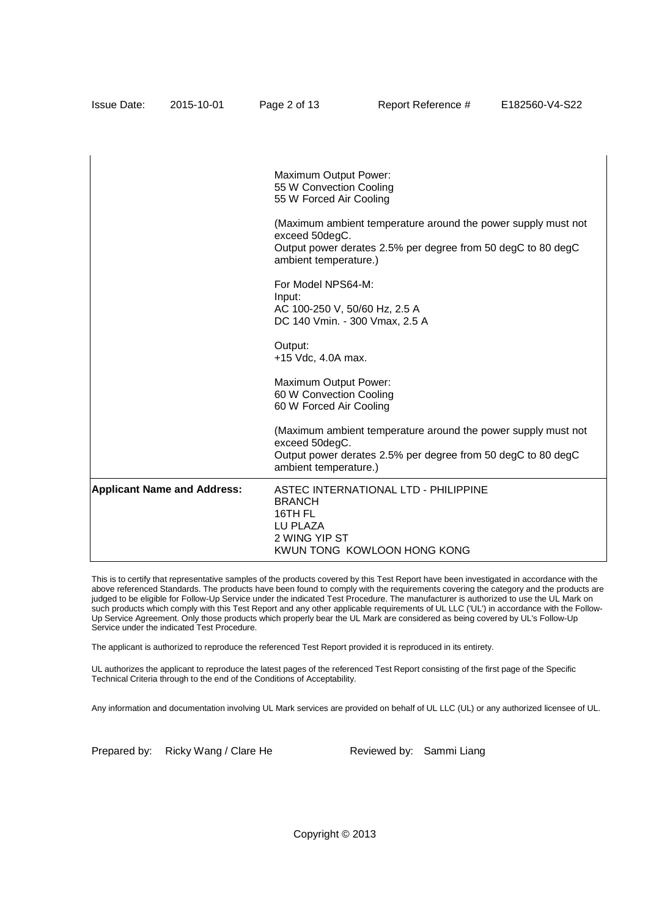|                                    | Maximum Output Power:<br>55 W Convection Cooling<br>55 W Forced Air Cooling                                                                                              |
|------------------------------------|--------------------------------------------------------------------------------------------------------------------------------------------------------------------------|
|                                    | (Maximum ambient temperature around the power supply must not<br>exceed 50degC.<br>Output power derates 2.5% per degree from 50 degC to 80 degC<br>ambient temperature.) |
|                                    | For Model NPS64-M:<br>Input:<br>AC 100-250 V, 50/60 Hz, 2.5 A<br>DC 140 Vmin. - 300 Vmax, 2.5 A                                                                          |
|                                    | Output:<br>+15 Vdc, 4.0A max.                                                                                                                                            |
|                                    | Maximum Output Power:<br>60 W Convection Cooling<br>60 W Forced Air Cooling                                                                                              |
|                                    | (Maximum ambient temperature around the power supply must not<br>exceed 50degC.<br>Output power derates 2.5% per degree from 50 degC to 80 degC<br>ambient temperature.) |
| <b>Applicant Name and Address:</b> | <b>ASTEC INTERNATIONAL LTD - PHILIPPINE</b><br><b>BRANCH</b><br>16TH FL<br>LU PLAZA<br>2 WING YIP ST<br>KWUN TONG KOWLOON HONG KONG                                      |

Issue Date: 2015-10-01 Page 2 of 13 Report Reference # E182560-V4-S22

This is to certify that representative samples of the products covered by this Test Report have been investigated in accordance with the above referenced Standards. The products have been found to comply with the requirements covering the category and the products are judged to be eligible for Follow-Up Service under the indicated Test Procedure. The manufacturer is authorized to use the UL Mark on such products which comply with this Test Report and any other applicable requirements of UL LLC ('UL') in accordance with the Follow-Up Service Agreement. Only those products which properly bear the UL Mark are considered as being covered by UL's Follow-Up Service under the indicated Test Procedure.

The applicant is authorized to reproduce the referenced Test Report provided it is reproduced in its entirety.

UL authorizes the applicant to reproduce the latest pages of the referenced Test Report consisting of the first page of the Specific Technical Criteria through to the end of the Conditions of Acceptability.

Any information and documentation involving UL Mark services are provided on behalf of UL LLC (UL) or any authorized licensee of UL.

Prepared by: Ricky Wang / Clare He Reviewed by: Sammi Liang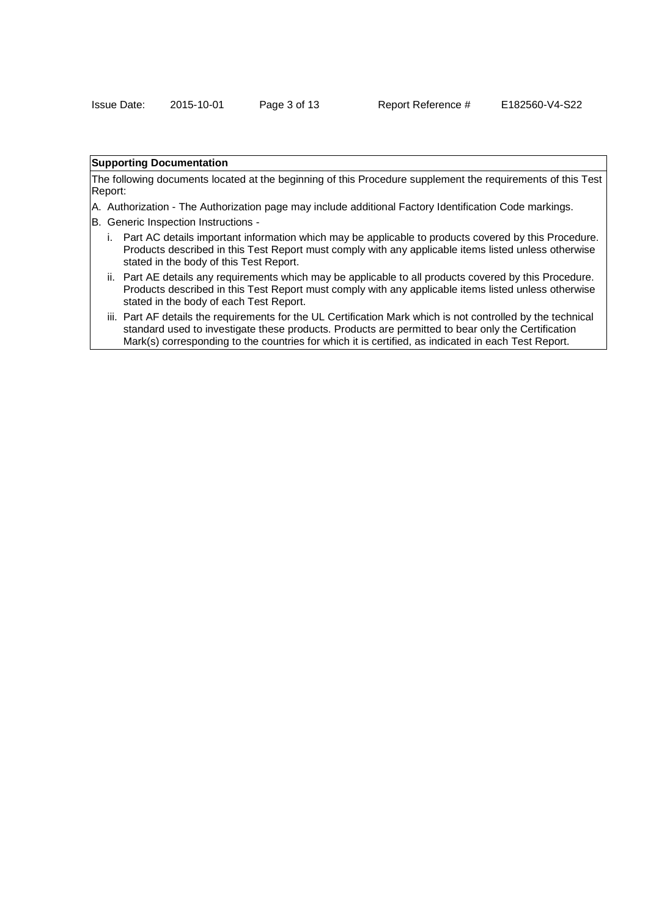# **Supporting Documentation**

The following documents located at the beginning of this Procedure supplement the requirements of this Test Report:

- A. Authorization The Authorization page may include additional Factory Identification Code markings.
- B. Generic Inspection Instructions
	- i. Part AC details important information which may be applicable to products covered by this Procedure. Products described in this Test Report must comply with any applicable items listed unless otherwise stated in the body of this Test Report.
	- ii. Part AE details any requirements which may be applicable to all products covered by this Procedure. Products described in this Test Report must comply with any applicable items listed unless otherwise stated in the body of each Test Report.
	- iii. Part AF details the requirements for the UL Certification Mark which is not controlled by the technical standard used to investigate these products. Products are permitted to bear only the Certification Mark(s) corresponding to the countries for which it is certified, as indicated in each Test Report.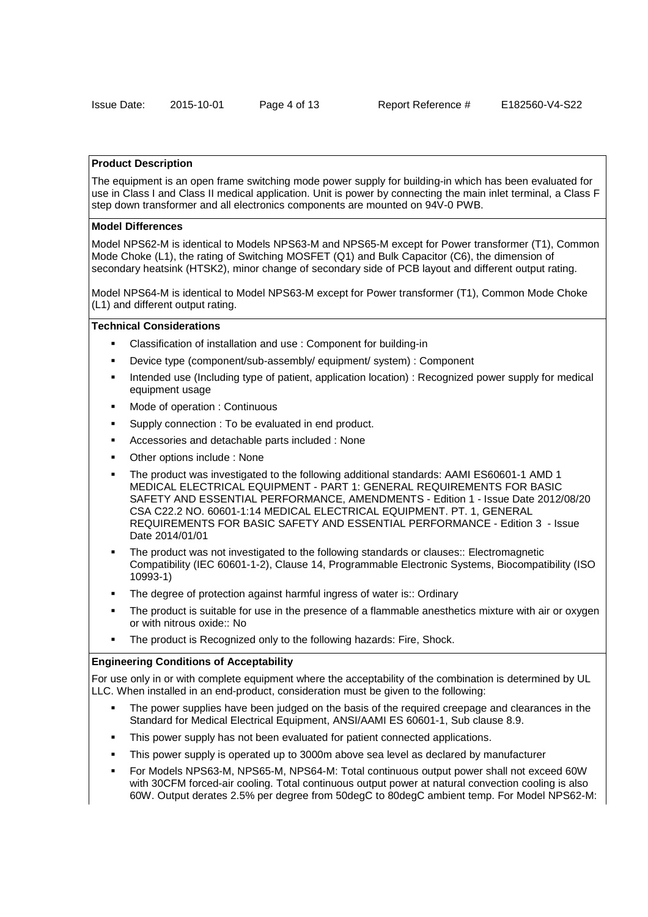#### **Product Description**

The equipment is an open frame switching mode power supply for building-in which has been evaluated for use in Class I and Class II medical application. Unit is power by connecting the main inlet terminal, a Class F step down transformer and all electronics components are mounted on 94V-0 PWB.

## **Model Differences**

Model NPS62-M is identical to Models NPS63-M and NPS65-M except for Power transformer (T1), Common Mode Choke (L1), the rating of Switching MOSFET (Q1) and Bulk Capacitor (C6), the dimension of secondary heatsink (HTSK2), minor change of secondary side of PCB layout and different output rating.

Model NPS64-M is identical to Model NPS63-M except for Power transformer (T1), Common Mode Choke (L1) and different output rating.

#### **Technical Considerations**

- Classification of installation and use : Component for building-in
- Device type (component/sub-assembly/ equipment/ system) : Component
- Intended use (Including type of patient, application location) : Recognized power supply for medical equipment usage
- Mode of operation : Continuous
- Supply connection : To be evaluated in end product.
- Accessories and detachable parts included : None
- Other options include : None
- The product was investigated to the following additional standards: AAMI ES60601-1 AMD 1 MEDICAL ELECTRICAL EQUIPMENT - PART 1: GENERAL REQUIREMENTS FOR BASIC SAFETY AND ESSENTIAL PERFORMANCE, AMENDMENTS - Edition 1 - Issue Date 2012/08/20 CSA C22.2 NO. 60601-1:14 MEDICAL ELECTRICAL EQUIPMENT. PT. 1, GENERAL REQUIREMENTS FOR BASIC SAFETY AND ESSENTIAL PERFORMANCE - Edition 3 - Issue Date 2014/01/01
- The product was not investigated to the following standards or clauses:: Electromagnetic Compatibility (IEC 60601-1-2), Clause 14, Programmable Electronic Systems, Biocompatibility (ISO 10993-1)
- The degree of protection against harmful ingress of water is:: Ordinary
- The product is suitable for use in the presence of a flammable anesthetics mixture with air or oxygen or with nitrous oxide:: No
- The product is Recognized only to the following hazards: Fire, Shock.

## **Engineering Conditions of Acceptability**

For use only in or with complete equipment where the acceptability of the combination is determined by UL LLC. When installed in an end-product, consideration must be given to the following:

- The power supplies have been judged on the basis of the required creepage and clearances in the Standard for Medical Electrical Equipment, ANSI/AAMI ES 60601-1, Sub clause 8.9.
- This power supply has not been evaluated for patient connected applications.
- This power supply is operated up to 3000m above sea level as declared by manufacturer
- For Models NPS63-M, NPS65-M, NPS64-M: Total continuous output power shall not exceed 60W with 30CFM forced-air cooling. Total continuous output power at natural convection cooling is also 60W. Output derates 2.5% per degree from 50degC to 80degC ambient temp. For Model NPS62-M: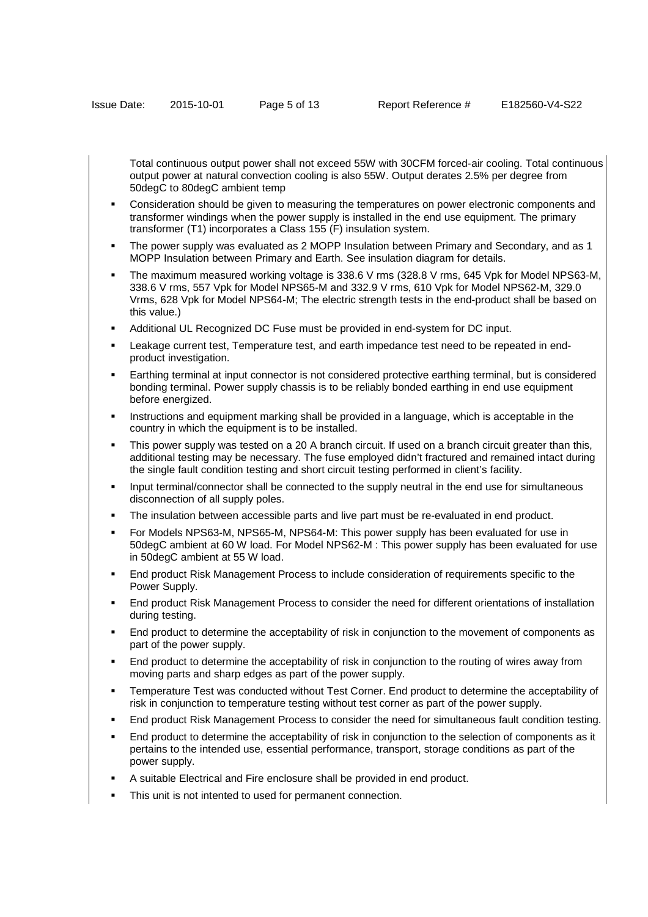Total continuous output power shall not exceed 55W with 30CFM forced-air cooling. Total continuous output power at natural convection cooling is also 55W. Output derates 2.5% per degree from 50degC to 80degC ambient temp

- Consideration should be given to measuring the temperatures on power electronic components and transformer windings when the power supply is installed in the end use equipment. The primary transformer (T1) incorporates a Class 155 (F) insulation system.
- The power supply was evaluated as 2 MOPP Insulation between Primary and Secondary, and as 1 MOPP Insulation between Primary and Earth. See insulation diagram for details.
- The maximum measured working voltage is 338.6 V rms (328.8 V rms, 645 Vpk for Model NPS63-M, 338.6 V rms, 557 Vpk for Model NPS65-M and 332.9 V rms, 610 Vpk for Model NPS62-M, 329.0 Vrms, 628 Vpk for Model NPS64-M; The electric strength tests in the end-product shall be based on this value.)
- Additional UL Recognized DC Fuse must be provided in end-system for DC input.
- Leakage current test, Temperature test, and earth impedance test need to be repeated in endproduct investigation.
- Earthing terminal at input connector is not considered protective earthing terminal, but is considered bonding terminal. Power supply chassis is to be reliably bonded earthing in end use equipment before energized.
- Instructions and equipment marking shall be provided in a language, which is acceptable in the country in which the equipment is to be installed.
- This power supply was tested on a 20 A branch circuit. If used on a branch circuit greater than this, additional testing may be necessary. The fuse employed didn't fractured and remained intact during the single fault condition testing and short circuit testing performed in client's facility.
- Input terminal/connector shall be connected to the supply neutral in the end use for simultaneous disconnection of all supply poles.
- The insulation between accessible parts and live part must be re-evaluated in end product.
- For Models NPS63-M, NPS65-M, NPS64-M: This power supply has been evaluated for use in 50degC ambient at 60 W load. For Model NPS62-M : This power supply has been evaluated for use in 50degC ambient at 55 W load.
- End product Risk Management Process to include consideration of requirements specific to the Power Supply.
- End product Risk Management Process to consider the need for different orientations of installation during testing.
- End product to determine the acceptability of risk in conjunction to the movement of components as part of the power supply.
- End product to determine the acceptability of risk in conjunction to the routing of wires away from moving parts and sharp edges as part of the power supply.
- Temperature Test was conducted without Test Corner. End product to determine the acceptability of risk in conjunction to temperature testing without test corner as part of the power supply.
- End product Risk Management Process to consider the need for simultaneous fault condition testing.
- End product to determine the acceptability of risk in conjunction to the selection of components as it pertains to the intended use, essential performance, transport, storage conditions as part of the power supply.
- A suitable Electrical and Fire enclosure shall be provided in end product.
- This unit is not intented to used for permanent connection.